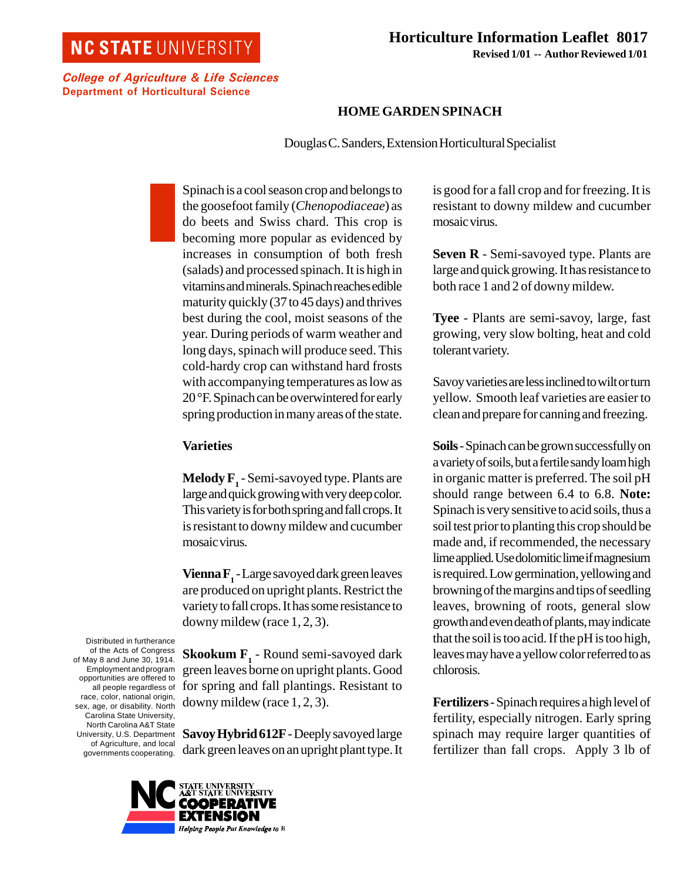## **NC STATE UNIVERSITY**

 **Horticulture Information Leaflet 8017 Revised 1/01 -- Author Reviewed 1/01**

College of Agriculture & Life Sciences Department of Horticultural Science

## **HOME GARDEN SPINACH**

Douglas C. Sanders, Extension Horticultural Specialist

Spinach is a cool season crop and belongs to the goosefoot family (*Chenopodiaceae*) as do beets and Swiss chard. This crop is becoming more popular as evidenced by increases in consumption of both fresh (salads) and processed spinach. It is high in vitamins and minerals. Spinach reaches edible maturity quickly (37 to 45 days) and thrives best during the cool, moist seasons of the year. During periods of warm weather and long days, spinach will produce seed. This cold-hardy crop can withstand hard frosts with accompanying temperatures as low as 20 °F. Spinach can be overwintered for early spring production in many areas of the state.

## **Varieties**

 $\mathbf{Medy}\, \mathbf{F}_\mathbf{1}$  - Semi-savoyed type. Plants are large and quick growing with very deep color. This variety is for both spring and fall crops. It is resistant to downy mildew and cucumber mosaic virus.

**Vienna F1** - Large savoyed dark green leaves are produced on upright plants. Restrict the variety to fall crops. It has some resistance to downy mildew (race 1, 2, 3).

**Skookum F1** - Round semi-savoyed dark green leaves borne on upright plants. Good for spring and fall plantings. Resistant to downy mildew (race 1, 2, 3).

**Savoy Hybrid 612F** - Deeply savoyed large dark green leaves on an upright plant type. It

UNIVE**R**SITY<br>'ATE UNIVE**R**SITY EXTENSION Helping People Put Knowledge to W

Distributed in furtherance of the Acts of Congress of May 8 and June 30, 1914. Employment and program opportunities are offered to all people regardless of race, color, national origin, sex, age, or disability. North Carolina State University, North Carolina A&T State University, U.S. Department of Agriculture, and local governments cooperating.

is good for a fall crop and for freezing. It is resistant to downy mildew and cucumber mosaic virus.

**Seven R** - Semi-savoyed type. Plants are large and quick growing. It has resistance to both race 1 and 2 of downy mildew.

**Tyee** - Plants are semi-savoy, large, fast growing, very slow bolting, heat and cold tolerant variety.

Savoy varieties are less inclined to wilt or turn yellow. Smooth leaf varieties are easier to clean and prepare for canning and freezing.

**Soils** - Spinach can be grown successfully on a variety of soils, but a fertile sandy loam high in organic matter is preferred. The soil pH should range between 6.4 to 6.8. **Note:** Spinach is very sensitive to acid soils, thus a soil test prior to planting this crop should be made and, if recommended, the necessary lime applied. Use dolomitic lime if magnesium is required. Low germination, yellowing and browning of the margins and tips of seedling leaves, browning of roots, general slow growth and even death of plants, may indicate that the soil is too acid. If the pH is too high, leaves may have a yellow color referred to as chlorosis.

**Fertilizers** - Spinach requires a high level of fertility, especially nitrogen. Early spring spinach may require larger quantities of fertilizer than fall crops. Apply 3 lb of